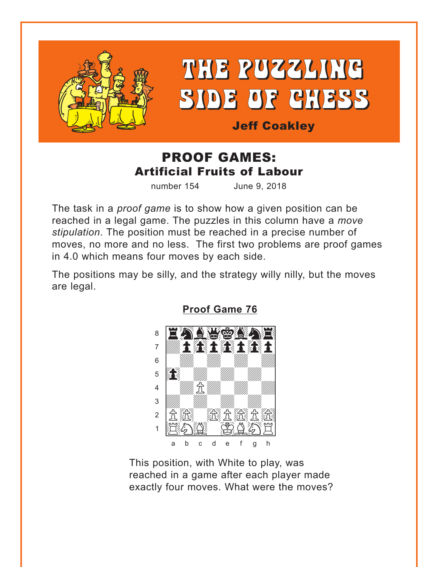<span id="page-0-0"></span>



**Jeff Coakley** 

## **PROOF GAMES: Artificial Fruits of Labour**

number 154 June 9, 2018

The task in a *proof game* is to show how a given position can be reached in a legal game. The puzzles in this column have a move stipulation. The position must be reached in a precise number of moves, no more and no less. The first two problems are proof games in 4.0 which means four moves by each side.

The positions may be silly, and the strategy willy nilly, but the moves are legal.



**Proof Game 76** 

This position, with White to play, was reached in a game after each player made exactly four moves. What were the moves?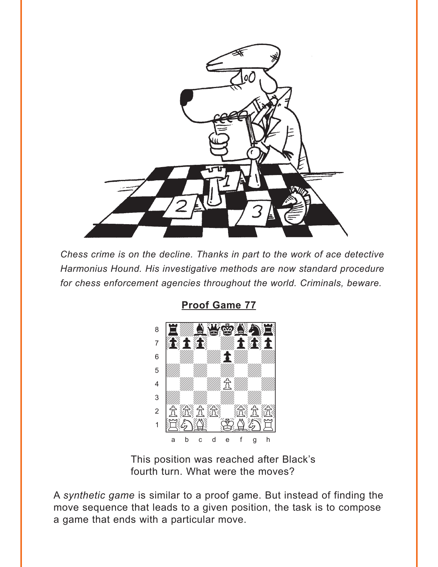<span id="page-1-0"></span>

Chess crime is on the decline. Thanks in part to the work of ace detective Harmonius Hound. His investigative methods are now standard procedure for chess enforcement agencies throughout the world. Criminals, beware.

**Proof Game 77** 



This position was reached after Black's fourth turn. What were the moves?

A synthetic game is similar to a proof game. But instead of finding the move sequence that leads to a given position, the task is to compose a game that ends with a particular move.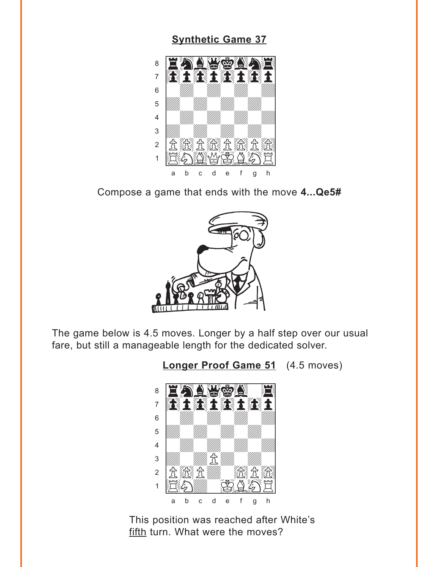#### **[Synthetic Game 37](#page-6-0)**

<span id="page-2-0"></span>

Compose a game that ends with the move **4...Qe5#**



The game below is 4.5 moves. Longer by a half step over our usual fare, but still a manageable length for the dedicated solver.

**[Longer Proof Game 51](#page-7-0)** (4.5 moves)



This position was reached after White's fifth turn. What were the moves?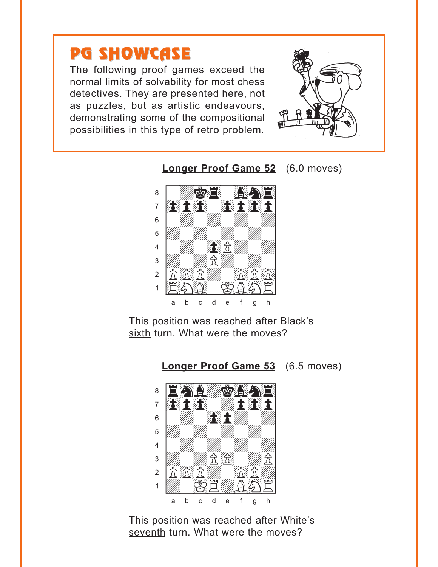# <span id="page-3-0"></span>PG SHOWCASE

The following proof games exceed the normal limits of solvability for most chess detectives. They are presented here, not as puzzles, but as artistic endeavours, demonstrating some of the compositional possibilities in this type of retro problem.



**[Longer Proof Game 52](#page-7-0)** (6.0 moves)



This position was reached after Black's sixth turn. What were the moves?

**[Longer Proof Game 53](#page-8-0)** (6.5 moves)



This position was reached after White's seventh turn. What were the moves?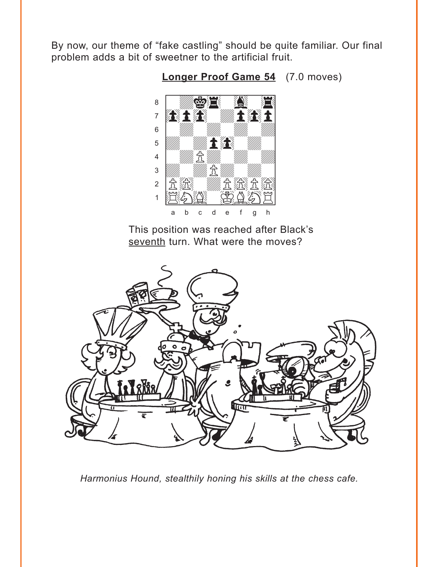<span id="page-4-0"></span>By now, our theme of "fake castling" should be quite familiar. Our final problem adds a bit of sweetner to the artificial fruit.



Longer Proof Game 54 (7.0 moves)

This position was reached after Black's seventh turn. What were the moves?



Harmonius Hound, stealthily honing his skills at the chess cafe.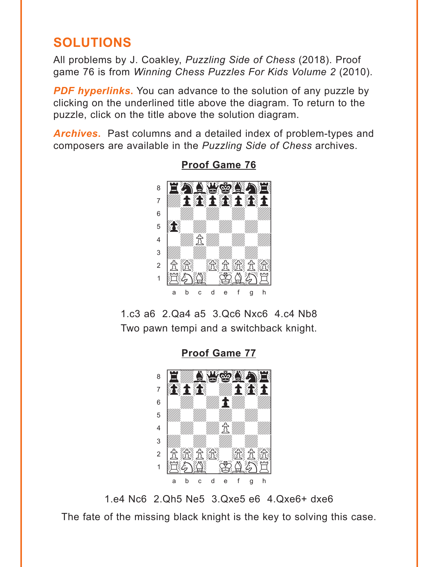## <span id="page-5-0"></span>**SOLUTIONS**

All problems by J. Coakley, Puzzling Side of Chess (2018). Proof game 76 is from Winning Chess Puzzles For Kids Volume 2 (2010).

**PDF hyperlinks.** You can advance to the solution of any puzzle by clicking on the underlined title above the diagram. To return to the puzzle, click on the title above the solution diagram.

**Archives.** Past columns and a detailed index of problem-types and composers are available in the Puzzling Side of Chess archives.



**Proof Game 76** 

1.c3 a6 2.Qa4 a5 3.Qc6 Nxc6 4.c4 Nb8 Two pawn tempi and a switchback knight.

**Proof Game 77** 



1.e4 Nc6 2.Qh5 Ne5 3.Qxe5 e6 4.Qxe6+ dxe6 The fate of the missing black knight is the key to solving this case.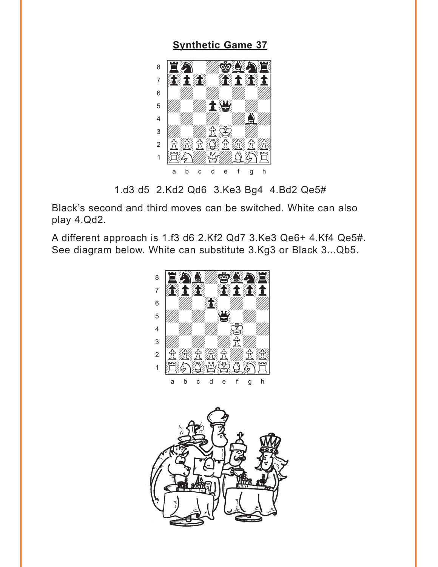<span id="page-6-0"></span>**[Synthetic Game 37](#page-2-0)**



1.d3 d5 2.Kd2 Qd6 3.Ke3 Bg4 4.Bd2 Qe5#

Black's second and third moves can be switched. White can also play 4.Qd2.

A different approach is 1.f3 d6 2.Kf2 Qd7 3.Ke3 Qe6+ 4.Kf4 Qe5#. See diagram below. White can substitute 3.Kg3 or Black 3...Qb5.



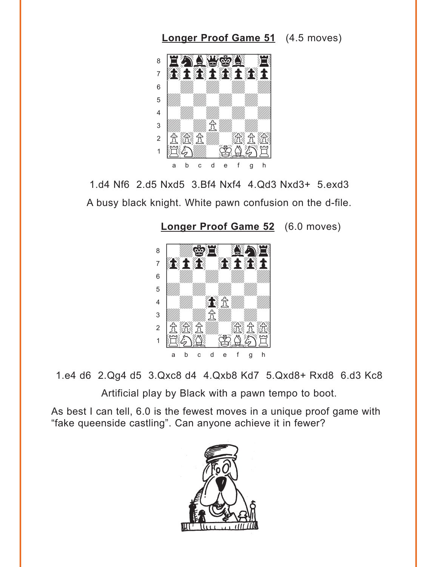<span id="page-7-0"></span>

1.d4 Nf6 2.d5 Nxd5 3.Bf4 Nxf4 4.Qd3 Nxd3+ 5.exd3 A busy black knight. White pawn confusion on the d-file.

**[Longer Proof Game 52](#page-3-0)** (6.0 moves)



1.e4 d6 2.Qg4 d5 3.Qxc8 d4 4.Qxb8 Kd7 5.Qxd8+ Rxd8 6.d3 Kc8

Artificial play by Black with a pawn tempo to boot.

As best I can tell, 6.0 is the fewest moves in a unique proof game with "fake queenside castling". Can anyone achieve it in fewer?